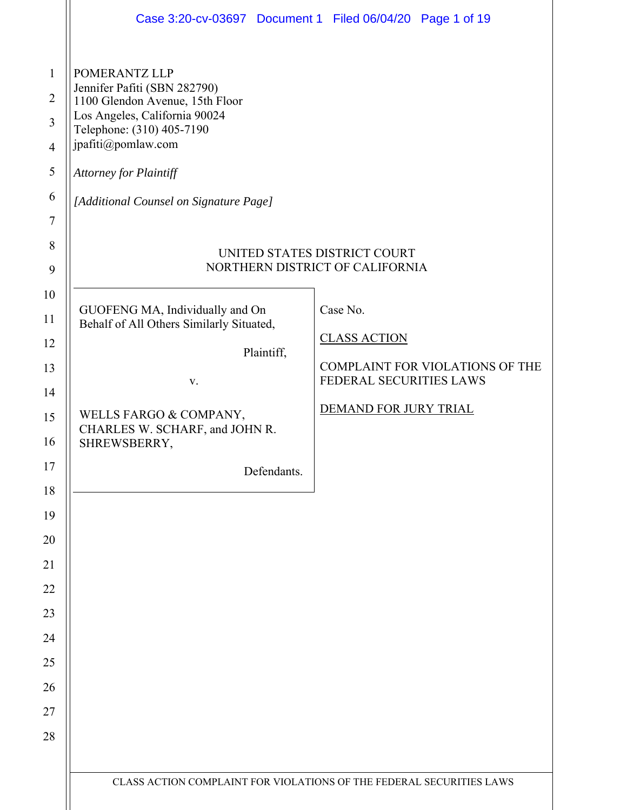|                                                               | Case 3:20-cv-03697 Document 1 Filed 06/04/20 Page 1 of 19                                                                                                               |                           |                                                                                     |                                        |
|---------------------------------------------------------------|-------------------------------------------------------------------------------------------------------------------------------------------------------------------------|---------------------------|-------------------------------------------------------------------------------------|----------------------------------------|
| POMERANTZ LLP<br>jpafiti@pomlaw.com<br>Attorney for Plaintiff | Jennifer Pafiti (SBN 282790)<br>1100 Glendon Avenue, 15th Floor<br>Los Angeles, California 90024<br>Telephone: (310) 405-7190<br>[Additional Counsel on Signature Page] |                           |                                                                                     |                                        |
|                                                               |                                                                                                                                                                         |                           | UNITED STATES DISTRICT COURT<br>NORTHERN DISTRICT OF CALIFORNIA                     |                                        |
| SHREWSBERRY,                                                  | GUOFENG MA, Individually and On<br>Behalf of All Others Similarly Situated,<br>V.<br>WELLS FARGO & COMPANY,<br>CHARLES W. SCHARF, and JOHN R.                           | Plaintiff,<br>Defendants. | Case No.<br><b>CLASS ACTION</b><br>FEDERAL SECURITIES LAWS<br>DEMAND FOR JURY TRIAL | <b>COMPLAINT FOR VIOLATIONS OF THE</b> |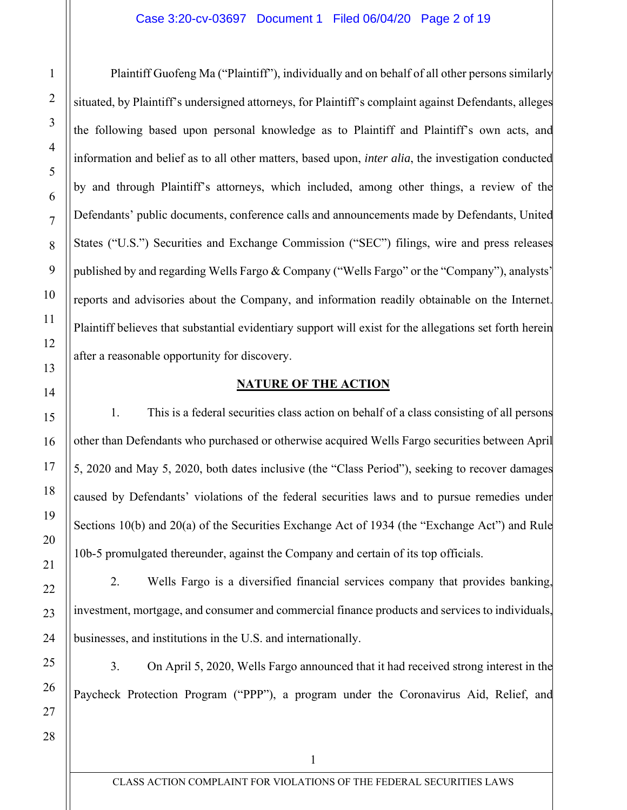Plaintiff Guofeng Ma ("Plaintiff"), individually and on behalf of all other persons similarly situated, by Plaintiff's undersigned attorneys, for Plaintiff's complaint against Defendants, alleges the following based upon personal knowledge as to Plaintiff and Plaintiff's own acts, and information and belief as to all other matters, based upon, *inter alia*, the investigation conducted by and through Plaintiff's attorneys, which included, among other things, a review of the Defendants' public documents, conference calls and announcements made by Defendants, United States ("U.S.") Securities and Exchange Commission ("SEC") filings, wire and press releases published by and regarding Wells Fargo & Company ("Wells Fargo" or the "Company"), analysts' reports and advisories about the Company, and information readily obtainable on the Internet. Plaintiff believes that substantial evidentiary support will exist for the allegations set forth herein after a reasonable opportunity for discovery.

# **NATURE OF THE ACTION**

1. This is a federal securities class action on behalf of a class consisting of all persons other than Defendants who purchased or otherwise acquired Wells Fargo securities between April 5, 2020 and May 5, 2020, both dates inclusive (the "Class Period"), seeking to recover damages caused by Defendants' violations of the federal securities laws and to pursue remedies under Sections 10(b) and 20(a) of the Securities Exchange Act of 1934 (the "Exchange Act") and Rule 10b-5 promulgated thereunder, against the Company and certain of its top officials.

2. Wells Fargo is a diversified financial services company that provides banking, investment, mortgage, and consumer and commercial finance products and services to individuals, businesses, and institutions in the U.S. and internationally.

3. On April 5, 2020, Wells Fargo announced that it had received strong interest in the Paycheck Protection Program ("PPP"), a program under the Coronavirus Aid, Relief, and

1

2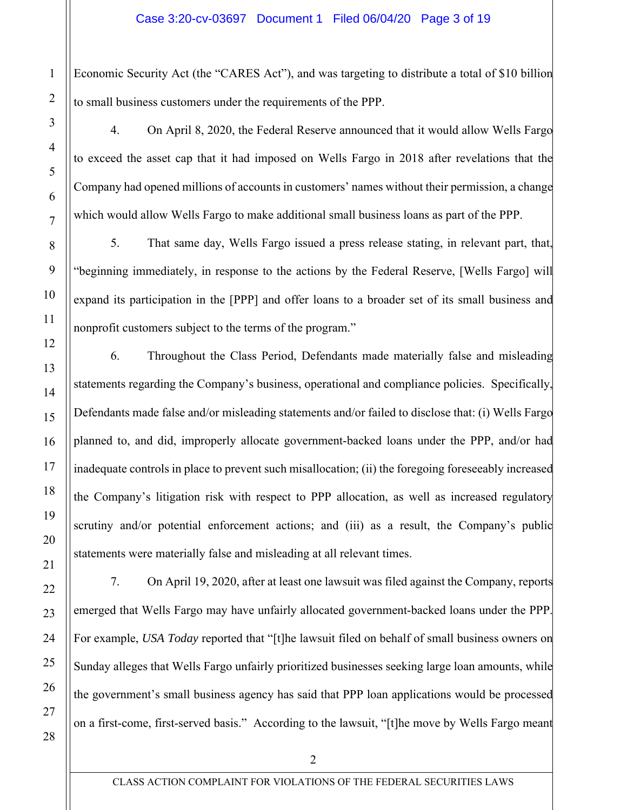Economic Security Act (the "CARES Act"), and was targeting to distribute a total of \$10 billion to small business customers under the requirements of the PPP.

4. On April 8, 2020, the Federal Reserve announced that it would allow Wells Fargo to exceed the asset cap that it had imposed on Wells Fargo in 2018 after revelations that the Company had opened millions of accounts in customers' names without their permission, a change which would allow Wells Fargo to make additional small business loans as part of the PPP.

5. That same day, Wells Fargo issued a press release stating, in relevant part, that, "beginning immediately, in response to the actions by the Federal Reserve, [Wells Fargo] will expand its participation in the [PPP] and offer loans to a broader set of its small business and nonprofit customers subject to the terms of the program."

6. Throughout the Class Period, Defendants made materially false and misleading statements regarding the Company's business, operational and compliance policies. Specifically, Defendants made false and/or misleading statements and/or failed to disclose that: (i) Wells Fargo planned to, and did, improperly allocate government-backed loans under the PPP, and/or had inadequate controls in place to prevent such misallocation; (ii) the foregoing foreseeably increased the Company's litigation risk with respect to PPP allocation, as well as increased regulatory scrutiny and/or potential enforcement actions; and (iii) as a result, the Company's public statements were materially false and misleading at all relevant times.

7. On April 19, 2020, after at least one lawsuit was filed against the Company, reports emerged that Wells Fargo may have unfairly allocated government-backed loans under the PPP. For example, *USA Today* reported that "[t]he lawsuit filed on behalf of small business owners on Sunday alleges that Wells Fargo unfairly prioritized businesses seeking large loan amounts, while the government's small business agency has said that PPP loan applications would be processed on a first-come, first-served basis." According to the lawsuit, "[t]he move by Wells Fargo meant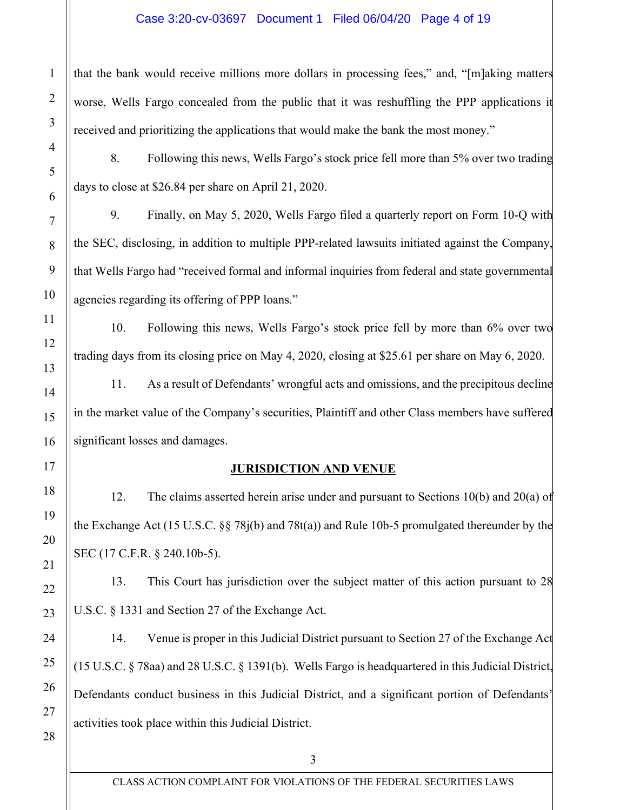### Case 3:20-cv-03697 Document 1 Filed 06/04/20 Page 4 of 19

that the bank would receive millions more dollars in processing fees," and, "[m]aking matters worse, Wells Fargo concealed from the public that it was reshuffling the PPP applications it received and prioritizing the applications that would make the bank the most money."

8. Following this news, Wells Fargo's stock price fell more than 5% over two trading days to close at \$26.84 per share on April 21, 2020.

9. Finally, on May 5, 2020, Wells Fargo filed a quarterly report on Form 10-Q with the SEC, disclosing, in addition to multiple PPP-related lawsuits initiated against the Company, that Wells Fargo had "received formal and informal inquiries from federal and state governmental agencies regarding its offering of PPP loans."

10. Following this news, Wells Fargo's stock price fell by more than 6% over two trading days from its closing price on May 4, 2020, closing at \$25.61 per share on May 6, 2020.

11. As a result of Defendants' wrongful acts and omissions, and the precipitous decline in the market value of the Company's securities, Plaintiff and other Class members have suffered significant losses and damages.

## **JURISDICTION AND VENUE**

12. The claims asserted herein arise under and pursuant to Sections 10(b) and 20(a) of the Exchange Act (15 U.S.C. §§ 78j(b) and 78t(a)) and Rule 10b-5 promulgated thereunder by the SEC (17 C.F.R. § 240.10b-5).

13. This Court has jurisdiction over the subject matter of this action pursuant to 28 U.S.C. § 1331 and Section 27 of the Exchange Act.

14. Venue is proper in this Judicial District pursuant to Section 27 of the Exchange Act (15 U.S.C. § 78aa) and 28 U.S.C. § 1391(b). Wells Fargo is headquartered in this Judicial District, Defendants conduct business in this Judicial District, and a significant portion of Defendants' activities took place within this Judicial District.

1

2

3

4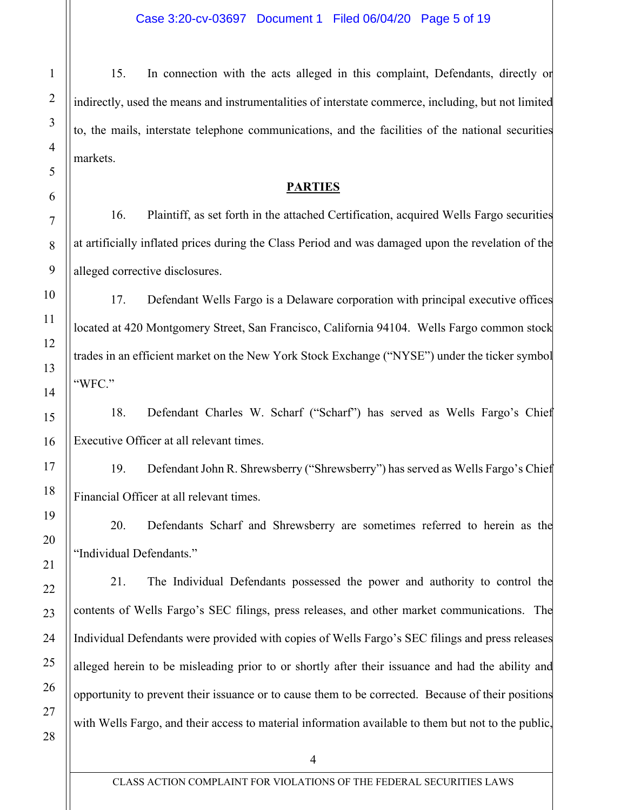15. In connection with the acts alleged in this complaint, Defendants, directly or indirectly, used the means and instrumentalities of interstate commerce, including, but not limited to, the mails, interstate telephone communications, and the facilities of the national securities markets.

### **PARTIES**

16. Plaintiff, as set forth in the attached Certification, acquired Wells Fargo securities at artificially inflated prices during the Class Period and was damaged upon the revelation of the alleged corrective disclosures.

17. Defendant Wells Fargo is a Delaware corporation with principal executive offices located at 420 Montgomery Street, San Francisco, California 94104. Wells Fargo common stock trades in an efficient market on the New York Stock Exchange ("NYSE") under the ticker symbol "WFC."

18. Defendant Charles W. Scharf ("Scharf") has served as Wells Fargo's Chief Executive Officer at all relevant times.

19. Defendant John R. Shrewsberry ("Shrewsberry") has served as Wells Fargo's Chief Financial Officer at all relevant times.

20. Defendants Scharf and Shrewsberry are sometimes referred to herein as the "Individual Defendants."

21. The Individual Defendants possessed the power and authority to control the contents of Wells Fargo's SEC filings, press releases, and other market communications. The Individual Defendants were provided with copies of Wells Fargo's SEC filings and press releases alleged herein to be misleading prior to or shortly after their issuance and had the ability and opportunity to prevent their issuance or to cause them to be corrected. Because of their positions with Wells Fargo, and their access to material information available to them but not to the public,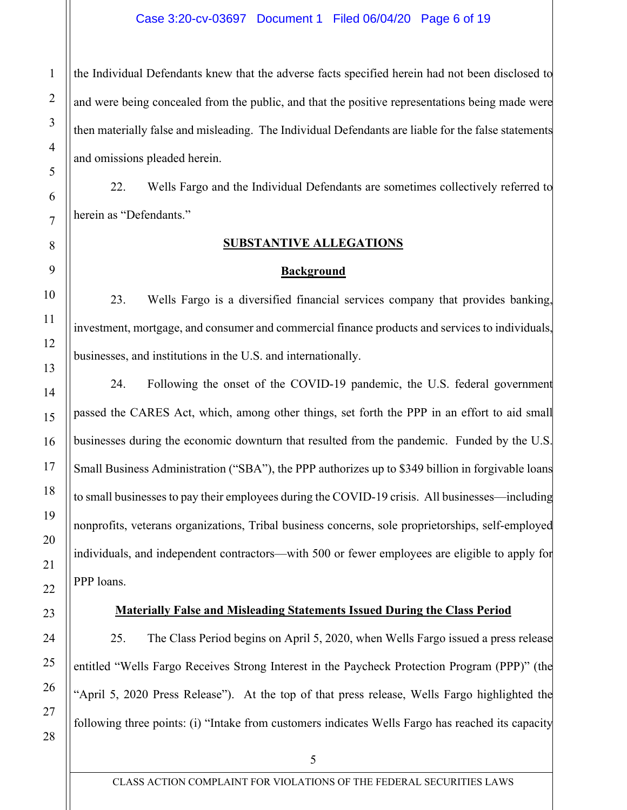the Individual Defendants knew that the adverse facts specified herein had not been disclosed to and were being concealed from the public, and that the positive representations being made were then materially false and misleading. The Individual Defendants are liable for the false statements and omissions pleaded herein.

22. Wells Fargo and the Individual Defendants are sometimes collectively referred to herein as "Defendants."

# **SUBSTANTIVE ALLEGATIONS**

### **Background**

23. Wells Fargo is a diversified financial services company that provides banking, investment, mortgage, and consumer and commercial finance products and services to individuals, businesses, and institutions in the U.S. and internationally.

24. Following the onset of the COVID-19 pandemic, the U.S. federal government passed the CARES Act, which, among other things, set forth the PPP in an effort to aid small businesses during the economic downturn that resulted from the pandemic. Funded by the U.S. Small Business Administration ("SBA"), the PPP authorizes up to \$349 billion in forgivable loans to small businesses to pay their employees during the COVID-19 crisis. All businesses—including nonprofits, veterans organizations, Tribal business concerns, sole proprietorships, self-employed individuals, and independent contractors—with 500 or fewer employees are eligible to apply for PPP loans.

# **Materially False and Misleading Statements Issued During the Class Period**

25. The Class Period begins on April 5, 2020, when Wells Fargo issued a press release entitled "Wells Fargo Receives Strong Interest in the Paycheck Protection Program (PPP)" (the "April 5, 2020 Press Release"). At the top of that press release, Wells Fargo highlighted the following three points: (i) "Intake from customers indicates Wells Fargo has reached its capacity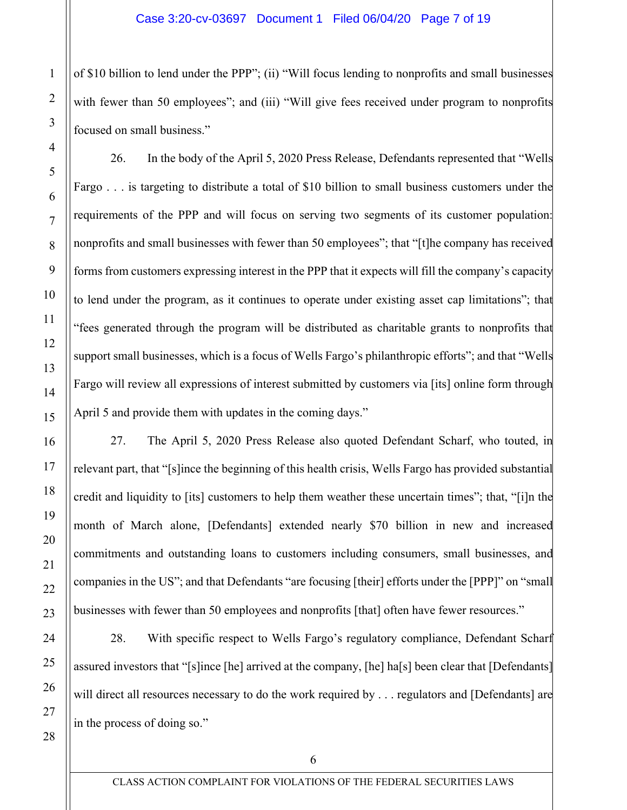of \$10 billion to lend under the PPP"; (ii) "Will focus lending to nonprofits and small businesses with fewer than 50 employees"; and (iii) "Will give fees received under program to nonprofits focused on small business."

26. In the body of the April 5, 2020 Press Release, Defendants represented that "Wells Fargo . . . is targeting to distribute a total of \$10 billion to small business customers under the requirements of the PPP and will focus on serving two segments of its customer population: nonprofits and small businesses with fewer than 50 employees"; that "[t]he company has received forms from customers expressing interest in the PPP that it expects will fill the company's capacity to lend under the program, as it continues to operate under existing asset cap limitations"; that "fees generated through the program will be distributed as charitable grants to nonprofits that support small businesses, which is a focus of Wells Fargo's philanthropic efforts"; and that "Wells Fargo will review all expressions of interest submitted by customers via [its] online form through April 5 and provide them with updates in the coming days."

27. The April 5, 2020 Press Release also quoted Defendant Scharf, who touted, in relevant part, that "[s]ince the beginning of this health crisis, Wells Fargo has provided substantial credit and liquidity to [its] customers to help them weather these uncertain times"; that, "[i]n the month of March alone, [Defendants] extended nearly \$70 billion in new and increased commitments and outstanding loans to customers including consumers, small businesses, and companies in the US"; and that Defendants "are focusing [their] efforts under the [PPP]" on "small businesses with fewer than 50 employees and nonprofits [that] often have fewer resources."

28. With specific respect to Wells Fargo's regulatory compliance, Defendant Scharf assured investors that "[s]ince [he] arrived at the company, [he] ha[s] been clear that [Defendants] will direct all resources necessary to do the work required by . . . regulators and [Defendants] are in the process of doing so."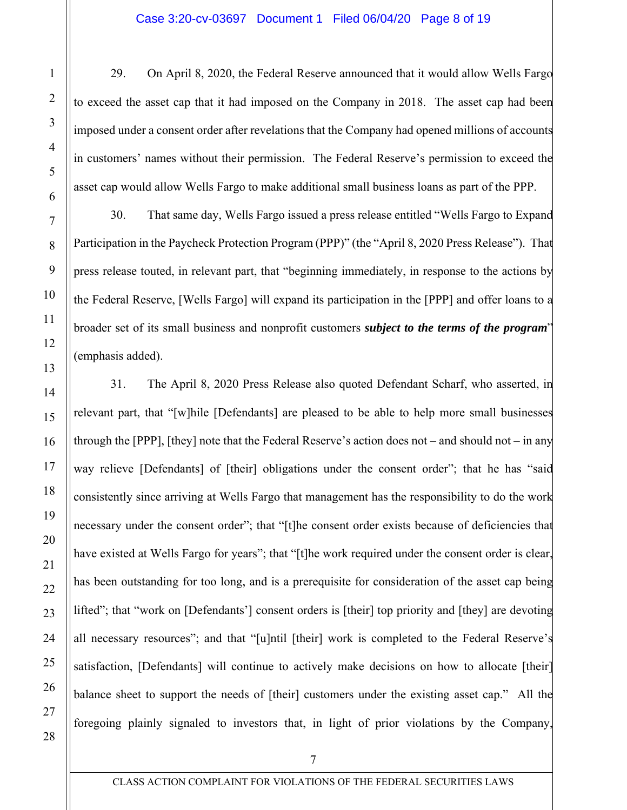29. On April 8, 2020, the Federal Reserve announced that it would allow Wells Fargo to exceed the asset cap that it had imposed on the Company in 2018. The asset cap had been imposed under a consent order after revelations that the Company had opened millions of accounts in customers' names without their permission. The Federal Reserve's permission to exceed the asset cap would allow Wells Fargo to make additional small business loans as part of the PPP.

30. That same day, Wells Fargo issued a press release entitled "Wells Fargo to Expand Participation in the Paycheck Protection Program (PPP)" (the "April 8, 2020 Press Release"). That press release touted, in relevant part, that "beginning immediately, in response to the actions by the Federal Reserve, [Wells Fargo] will expand its participation in the [PPP] and offer loans to a broader set of its small business and nonprofit customers *subject to the terms of the program*" (emphasis added).

31. The April 8, 2020 Press Release also quoted Defendant Scharf, who asserted, in relevant part, that "[w]hile [Defendants] are pleased to be able to help more small businesses through the [PPP], [they] note that the Federal Reserve's action does not – and should not – in any way relieve [Defendants] of [their] obligations under the consent order"; that he has "said consistently since arriving at Wells Fargo that management has the responsibility to do the work necessary under the consent order"; that "[t]he consent order exists because of deficiencies that have existed at Wells Fargo for years"; that "[t]he work required under the consent order is clear. has been outstanding for too long, and is a prerequisite for consideration of the asset cap being lifted"; that "work on [Defendants'] consent orders is [their] top priority and [they] are devoting all necessary resources"; and that "[u]ntil [their] work is completed to the Federal Reserve's satisfaction, [Defendants] will continue to actively make decisions on how to allocate [their] balance sheet to support the needs of [their] customers under the existing asset cap." All the foregoing plainly signaled to investors that, in light of prior violations by the Company,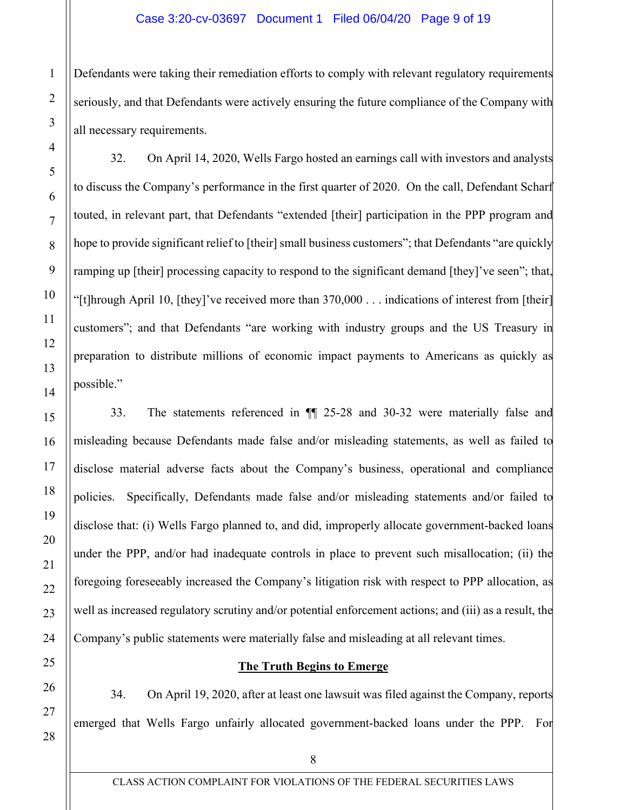### Case 3:20-cv-03697 Document 1 Filed 06/04/20 Page 9 of 19

Defendants were taking their remediation efforts to comply with relevant regulatory requirements seriously, and that Defendants were actively ensuring the future compliance of the Company with all necessary requirements.

32. On April 14, 2020, Wells Fargo hosted an earnings call with investors and analysts to discuss the Company's performance in the first quarter of 2020. On the call, Defendant Scharf touted, in relevant part, that Defendants "extended [their] participation in the PPP program and hope to provide significant relief to [their] small business customers"; that Defendants "are quickly ramping up [their] processing capacity to respond to the significant demand [they]'ve seen"; that, "[t]hrough April 10, [they]'ve received more than  $370,000$ ... indications of interest from [their] customers"; and that Defendants "are working with industry groups and the US Treasury in preparation to distribute millions of economic impact payments to Americans as quickly as possible."

33. The statements referenced in ¶¶ 25-28 and 30-32 were materially false and misleading because Defendants made false and/or misleading statements, as well as failed to disclose material adverse facts about the Company's business, operational and compliance policies. Specifically, Defendants made false and/or misleading statements and/or failed to disclose that: (i) Wells Fargo planned to, and did, improperly allocate government-backed loans under the PPP, and/or had inadequate controls in place to prevent such misallocation; (ii) the foregoing foreseeably increased the Company's litigation risk with respect to PPP allocation, as well as increased regulatory scrutiny and/or potential enforcement actions; and (iii) as a result, the Company's public statements were materially false and misleading at all relevant times.

### **The Truth Begins to Emerge**

34. On April 19, 2020, after at least one lawsuit was filed against the Company, reports emerged that Wells Fargo unfairly allocated government-backed loans under the PPP. For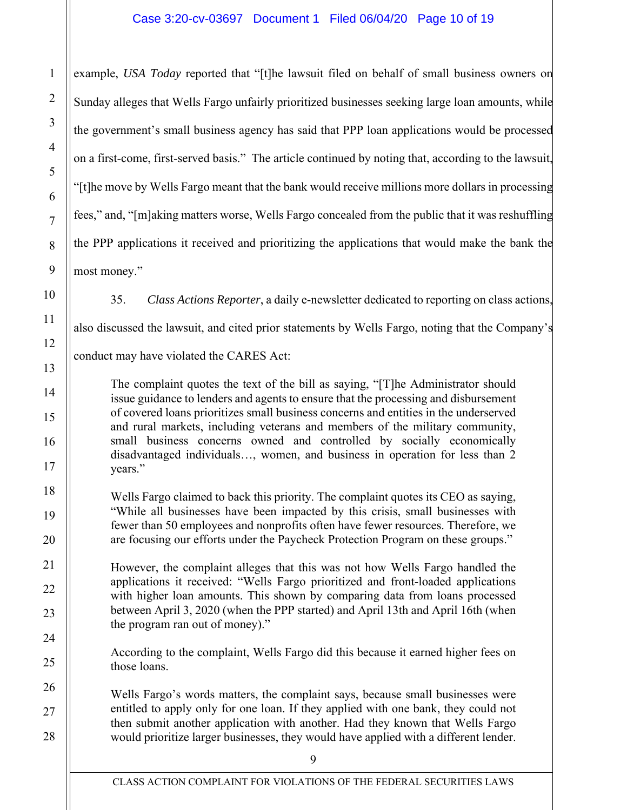example, *USA Today* reported that "[t]he lawsuit filed on behalf of small business owners on Sunday alleges that Wells Fargo unfairly prioritized businesses seeking large loan amounts, while the government's small business agency has said that PPP loan applications would be processed on a first-come, first-served basis." The article continued by noting that, according to the lawsuit, "[t]he move by Wells Fargo meant that the bank would receive millions more dollars in processing fees," and, "[m]aking matters worse, Wells Fargo concealed from the public that it was reshuffling the PPP applications it received and prioritizing the applications that would make the bank the most money."

35. *Class Actions Reporter*, a daily e-newsletter dedicated to reporting on class actions,

also discussed the lawsuit, and cited prior statements by Wells Fargo, noting that the Company's

conduct may have violated the CARES Act:

The complaint quotes the text of the bill as saying, "[T]he Administrator should issue guidance to lenders and agents to ensure that the processing and disbursement of covered loans prioritizes small business concerns and entities in the underserved and rural markets, including veterans and members of the military community, small business concerns owned and controlled by socially economically disadvantaged individuals…, women, and business in operation for less than 2 years."

Wells Fargo claimed to back this priority. The complaint quotes its CEO as saying, "While all businesses have been impacted by this crisis, small businesses with fewer than 50 employees and nonprofits often have fewer resources. Therefore, we are focusing our efforts under the Paycheck Protection Program on these groups."

However, the complaint alleges that this was not how Wells Fargo handled the applications it received: "Wells Fargo prioritized and front-loaded applications with higher loan amounts. This shown by comparing data from loans processed between April 3, 2020 (when the PPP started) and April 13th and April 16th (when the program ran out of money)."

According to the complaint, Wells Fargo did this because it earned higher fees on those loans.

Wells Fargo's words matters, the complaint says, because small businesses were entitled to apply only for one loan. If they applied with one bank, they could not then submit another application with another. Had they known that Wells Fargo would prioritize larger businesses, they would have applied with a different lender.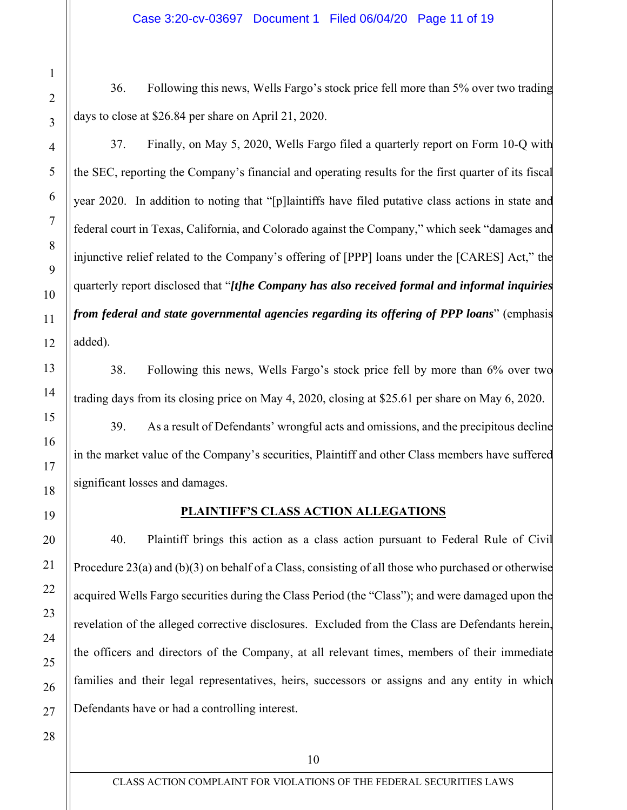36. Following this news, Wells Fargo's stock price fell more than 5% over two trading days to close at \$26.84 per share on April 21, 2020.

37. Finally, on May 5, 2020, Wells Fargo filed a quarterly report on Form 10-Q with the SEC, reporting the Company's financial and operating results for the first quarter of its fiscal year 2020. In addition to noting that "[p]laintiffs have filed putative class actions in state and federal court in Texas, California, and Colorado against the Company," which seek "damages and injunctive relief related to the Company's offering of [PPP] loans under the [CARES] Act," the quarterly report disclosed that "*[t]he Company has also received formal and informal inquiries from federal and state governmental agencies regarding its offering of PPP loans*" (emphasis added).

38. Following this news, Wells Fargo's stock price fell by more than 6% over two trading days from its closing price on May 4, 2020, closing at \$25.61 per share on May 6, 2020.

39. As a result of Defendants' wrongful acts and omissions, and the precipitous decline in the market value of the Company's securities, Plaintiff and other Class members have suffered significant losses and damages.

# **PLAINTIFF'S CLASS ACTION ALLEGATIONS**

40. Plaintiff brings this action as a class action pursuant to Federal Rule of Civil Procedure 23(a) and (b)(3) on behalf of a Class, consisting of all those who purchased or otherwise acquired Wells Fargo securities during the Class Period (the "Class"); and were damaged upon the revelation of the alleged corrective disclosures. Excluded from the Class are Defendants herein, the officers and directors of the Company, at all relevant times, members of their immediate families and their legal representatives, heirs, successors or assigns and any entity in which Defendants have or had a controlling interest.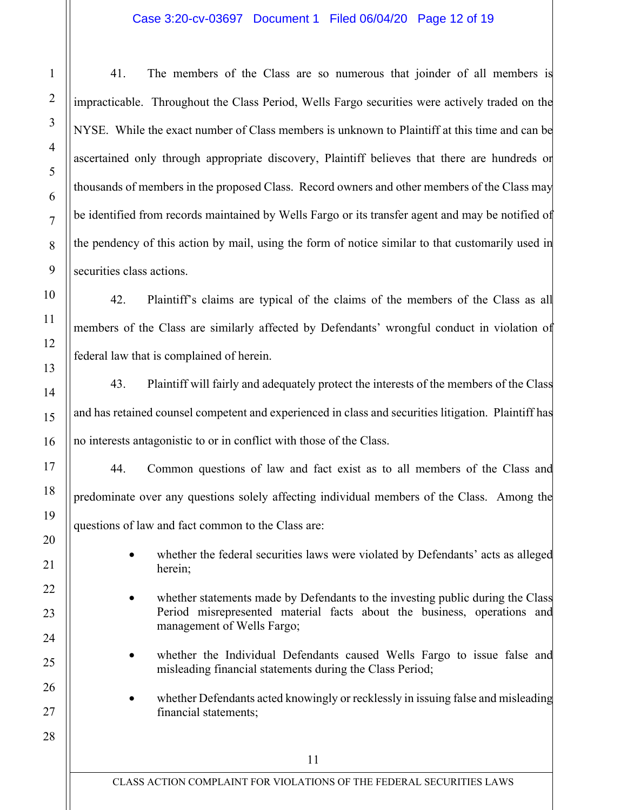### Case 3:20-cv-03697 Document 1 Filed 06/04/20 Page 12 of 19

41. The members of the Class are so numerous that joinder of all members is impracticable. Throughout the Class Period, Wells Fargo securities were actively traded on the NYSE. While the exact number of Class members is unknown to Plaintiff at this time and can be ascertained only through appropriate discovery, Plaintiff believes that there are hundreds or thousands of members in the proposed Class. Record owners and other members of the Class may be identified from records maintained by Wells Fargo or its transfer agent and may be notified of the pendency of this action by mail, using the form of notice similar to that customarily used in securities class actions.

42. Plaintiff's claims are typical of the claims of the members of the Class as all members of the Class are similarly affected by Defendants' wrongful conduct in violation of federal law that is complained of herein.

43. Plaintiff will fairly and adequately protect the interests of the members of the Class and has retained counsel competent and experienced in class and securities litigation. Plaintiff has no interests antagonistic to or in conflict with those of the Class.

44. Common questions of law and fact exist as to all members of the Class and predominate over any questions solely affecting individual members of the Class. Among the questions of law and fact common to the Class are:

- whether the federal securities laws were violated by Defendants' acts as alleged herein;
- whether statements made by Defendants to the investing public during the Class Period misrepresented material facts about the business, operations and management of Wells Fargo;
- whether the Individual Defendants caused Wells Fargo to issue false and misleading financial statements during the Class Period;
- whether Defendants acted knowingly or recklessly in issuing false and misleading financial statements;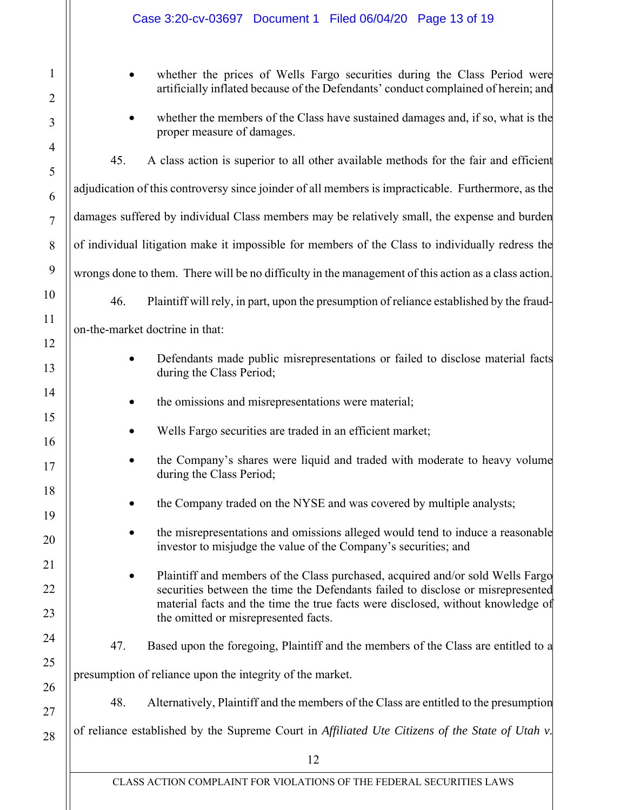|                     | Case 3:20-cv-03697 Document 1 Filed 06/04/20 Page 13 of 19                                                                                                                                                 |  |  |  |  |
|---------------------|------------------------------------------------------------------------------------------------------------------------------------------------------------------------------------------------------------|--|--|--|--|
| 1<br>$\overline{2}$ | whether the prices of Wells Fargo securities during the Class Period were<br>artificially inflated because of the Defendants' conduct complained of herein; and                                            |  |  |  |  |
| 3                   | whether the members of the Class have sustained damages and, if so, what is the<br>proper measure of damages.                                                                                              |  |  |  |  |
| $\overline{4}$<br>5 | 45.<br>A class action is superior to all other available methods for the fair and efficient                                                                                                                |  |  |  |  |
| 6                   | adjudication of this controversy since joinder of all members is impracticable. Furthermore, as the                                                                                                        |  |  |  |  |
| $\overline{7}$      | damages suffered by individual Class members may be relatively small, the expense and burden                                                                                                               |  |  |  |  |
| 8                   | of individual litigation make it impossible for members of the Class to individually redress the                                                                                                           |  |  |  |  |
| 9                   | wrongs done to them. There will be no difficulty in the management of this action as a class action.                                                                                                       |  |  |  |  |
| 10                  | 46.<br>Plaintiff will rely, in part, upon the presumption of reliance established by the fraud-                                                                                                            |  |  |  |  |
| 11                  | on-the-market doctrine in that:                                                                                                                                                                            |  |  |  |  |
| 12<br>13            | Defendants made public misrepresentations or failed to disclose material facts<br>during the Class Period;                                                                                                 |  |  |  |  |
| 14                  | the omissions and misrepresentations were material;                                                                                                                                                        |  |  |  |  |
| 15<br>16            | Wells Fargo securities are traded in an efficient market;                                                                                                                                                  |  |  |  |  |
| 17                  | the Company's shares were liquid and traded with moderate to heavy volume<br>during the Class Period;                                                                                                      |  |  |  |  |
| 18<br>19            | the Company traded on the NYSE and was covered by multiple analysts;                                                                                                                                       |  |  |  |  |
| 20                  | the misrepresentations and omissions alleged would tend to induce a reasonable<br>investor to misjudge the value of the Company's securities; and                                                          |  |  |  |  |
| 21                  | Plaintiff and members of the Class purchased, acquired and/or sold Wells Fargo                                                                                                                             |  |  |  |  |
| 22<br>23            | securities between the time the Defendants failed to disclose or misrepresented<br>material facts and the time the true facts were disclosed, without knowledge of<br>the omitted or misrepresented facts. |  |  |  |  |
| 24                  | 47.<br>Based upon the foregoing, Plaintiff and the members of the Class are entitled to a                                                                                                                  |  |  |  |  |
| 25                  | presumption of reliance upon the integrity of the market.                                                                                                                                                  |  |  |  |  |
| 26                  | 48.<br>Alternatively, Plaintiff and the members of the Class are entitled to the presumption                                                                                                               |  |  |  |  |
| 27                  |                                                                                                                                                                                                            |  |  |  |  |
| 28                  | of reliance established by the Supreme Court in Affiliated Ute Citizens of the State of Utah v.                                                                                                            |  |  |  |  |
|                     | 12                                                                                                                                                                                                         |  |  |  |  |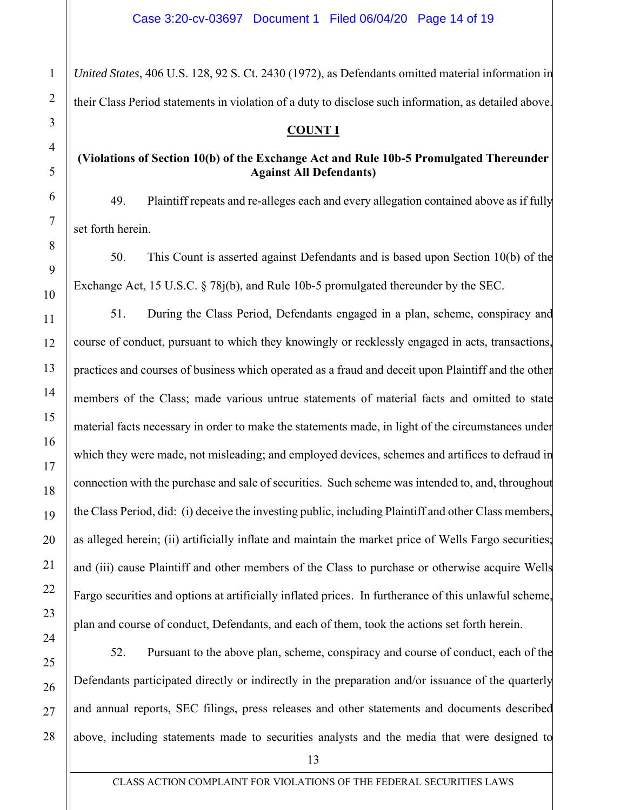*United States*, 406 U.S. 128, 92 S. Ct. 2430 (1972), as Defendants omitted material information in their Class Period statements in violation of a duty to disclose such information, as detailed above.

## **COUNT I**

# **(Violations of Section 10(b) of the Exchange Act and Rule 10b-5 Promulgated Thereunder Against All Defendants)**

49. Plaintiff repeats and re-alleges each and every allegation contained above as if fully set forth herein.

50. This Count is asserted against Defendants and is based upon Section 10(b) of the Exchange Act, 15 U.S.C. § 78j(b), and Rule 10b-5 promulgated thereunder by the SEC.

51. During the Class Period, Defendants engaged in a plan, scheme, conspiracy and course of conduct, pursuant to which they knowingly or recklessly engaged in acts, transactions, practices and courses of business which operated as a fraud and deceit upon Plaintiff and the other members of the Class; made various untrue statements of material facts and omitted to state material facts necessary in order to make the statements made, in light of the circumstances under which they were made, not misleading; and employed devices, schemes and artifices to defraud in connection with the purchase and sale of securities. Such scheme was intended to, and, throughout the Class Period, did: (i) deceive the investing public, including Plaintiff and other Class members, as alleged herein; (ii) artificially inflate and maintain the market price of Wells Fargo securities; and (iii) cause Plaintiff and other members of the Class to purchase or otherwise acquire Wells Fargo securities and options at artificially inflated prices. In furtherance of this unlawful scheme, plan and course of conduct, Defendants, and each of them, took the actions set forth herein.

52. Pursuant to the above plan, scheme, conspiracy and course of conduct, each of the Defendants participated directly or indirectly in the preparation and/or issuance of the quarterly and annual reports, SEC filings, press releases and other statements and documents described above, including statements made to securities analysts and the media that were designed to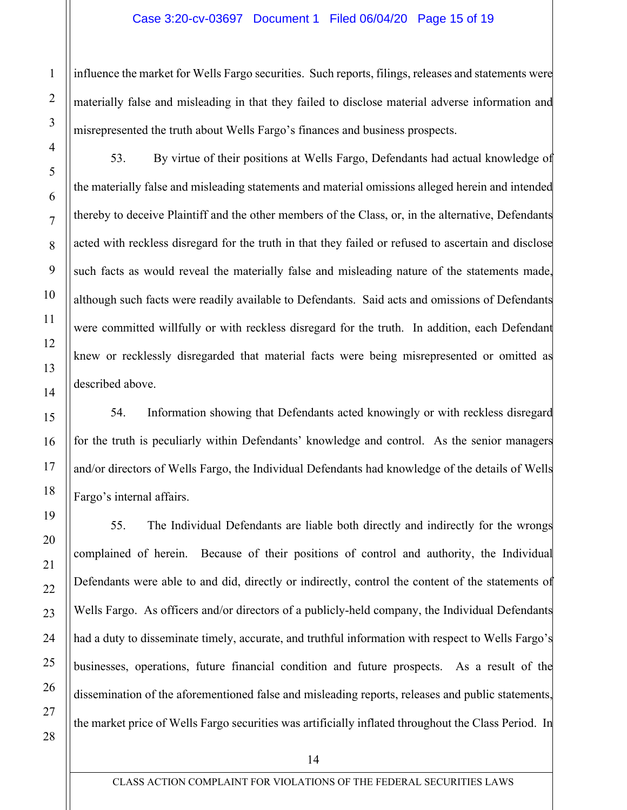influence the market for Wells Fargo securities. Such reports, filings, releases and statements were materially false and misleading in that they failed to disclose material adverse information and misrepresented the truth about Wells Fargo's finances and business prospects.

53. By virtue of their positions at Wells Fargo, Defendants had actual knowledge of the materially false and misleading statements and material omissions alleged herein and intended thereby to deceive Plaintiff and the other members of the Class, or, in the alternative, Defendants acted with reckless disregard for the truth in that they failed or refused to ascertain and disclose such facts as would reveal the materially false and misleading nature of the statements made, although such facts were readily available to Defendants. Said acts and omissions of Defendants were committed willfully or with reckless disregard for the truth. In addition, each Defendant knew or recklessly disregarded that material facts were being misrepresented or omitted as described above.

54. Information showing that Defendants acted knowingly or with reckless disregard for the truth is peculiarly within Defendants' knowledge and control. As the senior managers and/or directors of Wells Fargo, the Individual Defendants had knowledge of the details of Wells Fargo's internal affairs.

55. The Individual Defendants are liable both directly and indirectly for the wrongs complained of herein. Because of their positions of control and authority, the Individual Defendants were able to and did, directly or indirectly, control the content of the statements of Wells Fargo. As officers and/or directors of a publicly-held company, the Individual Defendants had a duty to disseminate timely, accurate, and truthful information with respect to Wells Fargo's businesses, operations, future financial condition and future prospects. As a result of the dissemination of the aforementioned false and misleading reports, releases and public statements, the market price of Wells Fargo securities was artificially inflated throughout the Class Period. In

14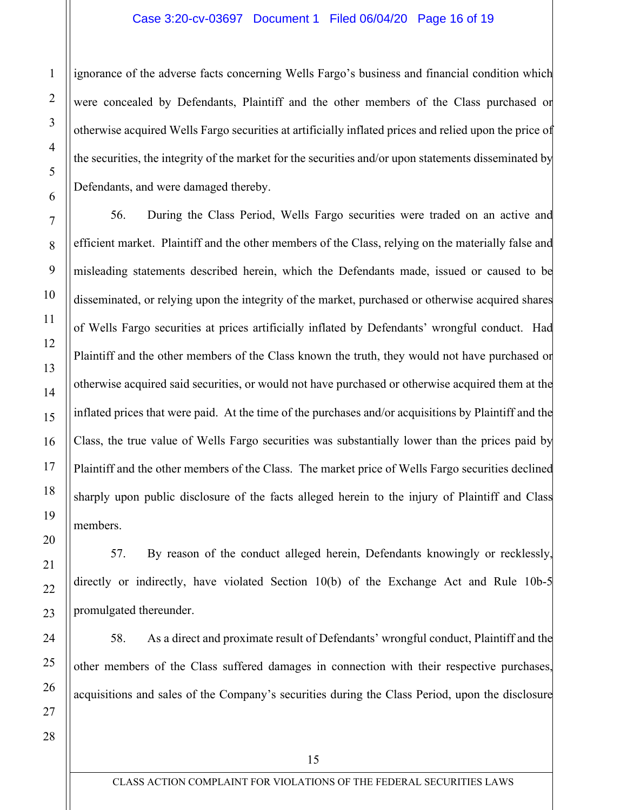ignorance of the adverse facts concerning Wells Fargo's business and financial condition which were concealed by Defendants, Plaintiff and the other members of the Class purchased or otherwise acquired Wells Fargo securities at artificially inflated prices and relied upon the price of the securities, the integrity of the market for the securities and/or upon statements disseminated by Defendants, and were damaged thereby.

56. During the Class Period, Wells Fargo securities were traded on an active and efficient market. Plaintiff and the other members of the Class, relying on the materially false and misleading statements described herein, which the Defendants made, issued or caused to be disseminated, or relying upon the integrity of the market, purchased or otherwise acquired shares of Wells Fargo securities at prices artificially inflated by Defendants' wrongful conduct. Had Plaintiff and the other members of the Class known the truth, they would not have purchased or otherwise acquired said securities, or would not have purchased or otherwise acquired them at the inflated prices that were paid. At the time of the purchases and/or acquisitions by Plaintiff and the Class, the true value of Wells Fargo securities was substantially lower than the prices paid by Plaintiff and the other members of the Class. The market price of Wells Fargo securities declined sharply upon public disclosure of the facts alleged herein to the injury of Plaintiff and Class members.

57. By reason of the conduct alleged herein, Defendants knowingly or recklessly, directly or indirectly, have violated Section 10(b) of the Exchange Act and Rule 10b-5 promulgated thereunder.

58. As a direct and proximate result of Defendants' wrongful conduct, Plaintiff and the other members of the Class suffered damages in connection with their respective purchases, acquisitions and sales of the Company's securities during the Class Period, upon the disclosure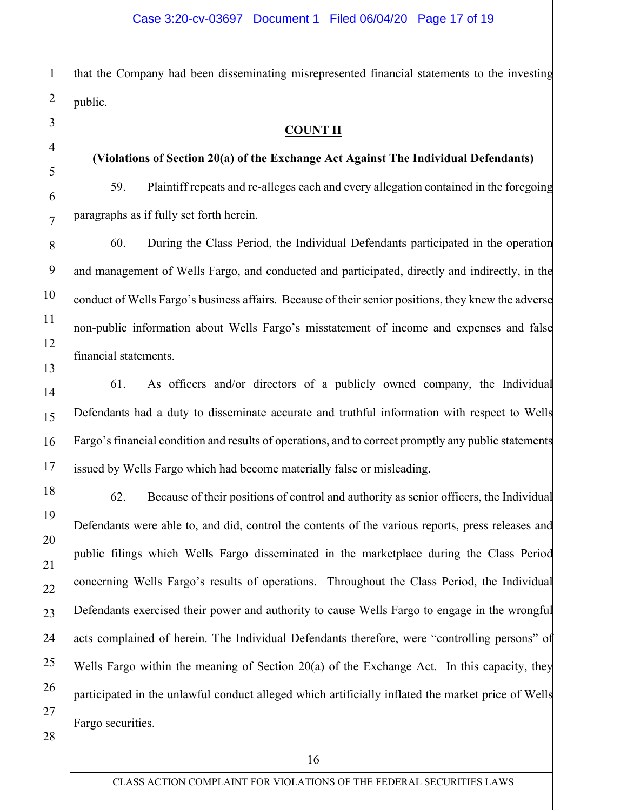that the Company had been disseminating misrepresented financial statements to the investing public.

### **COUNT II**

## **(Violations of Section 20(a) of the Exchange Act Against The Individual Defendants)**

59. Plaintiff repeats and re-alleges each and every allegation contained in the foregoing paragraphs as if fully set forth herein.

60. During the Class Period, the Individual Defendants participated in the operation and management of Wells Fargo, and conducted and participated, directly and indirectly, in the conduct of Wells Fargo's business affairs. Because of their senior positions, they knew the adverse non-public information about Wells Fargo's misstatement of income and expenses and false financial statements.

61. As officers and/or directors of a publicly owned company, the Individual Defendants had a duty to disseminate accurate and truthful information with respect to Wells Fargo's financial condition and results of operations, and to correct promptly any public statements issued by Wells Fargo which had become materially false or misleading.

62. Because of their positions of control and authority as senior officers, the Individual Defendants were able to, and did, control the contents of the various reports, press releases and public filings which Wells Fargo disseminated in the marketplace during the Class Period concerning Wells Fargo's results of operations. Throughout the Class Period, the Individual Defendants exercised their power and authority to cause Wells Fargo to engage in the wrongful acts complained of herein. The Individual Defendants therefore, were "controlling persons" of Wells Fargo within the meaning of Section 20(a) of the Exchange Act. In this capacity, they participated in the unlawful conduct alleged which artificially inflated the market price of Wells Fargo securities.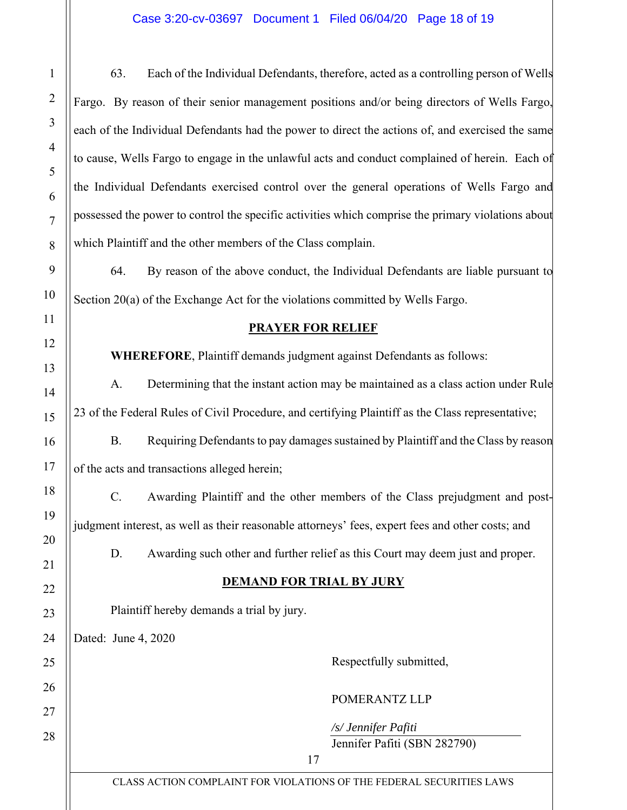63. Each of the Individual Defendants, therefore, acted as a controlling person of Wells Fargo. By reason of their senior management positions and/or being directors of Wells Fargo, each of the Individual Defendants had the power to direct the actions of, and exercised the same to cause, Wells Fargo to engage in the unlawful acts and conduct complained of herein. Each of the Individual Defendants exercised control over the general operations of Wells Fargo and possessed the power to control the specific activities which comprise the primary violations about which Plaintiff and the other members of the Class complain.

64. By reason of the above conduct, the Individual Defendants are liable pursuant to Section 20(a) of the Exchange Act for the violations committed by Wells Fargo.

## **PRAYER FOR RELIEF**

**WHEREFORE**, Plaintiff demands judgment against Defendants as follows:

A. Determining that the instant action may be maintained as a class action under Rule 23 of the Federal Rules of Civil Procedure, and certifying Plaintiff as the Class representative;

B. Requiring Defendants to pay damages sustained by Plaintiff and the Class by reason of the acts and transactions alleged herein;

C. Awarding Plaintiff and the other members of the Class prejudgment and postjudgment interest, as well as their reasonable attorneys' fees, expert fees and other costs; and

D. Awarding such other and further relief as this Court may deem just and proper.

# **DEMAND FOR TRIAL BY JURY**

Plaintiff hereby demands a trial by jury.

Dated: June 4, 2020

Respectfully submitted,

## POMERANTZ LLP

*/s/ Jennifer Pafiti*  Jennifer Pafiti (SBN 282790)